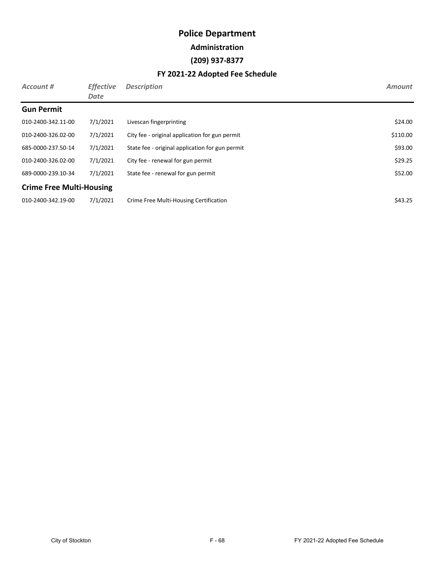#### **Administration**

#### **(209) 937-8377**

| Account #                       | <b>Effective</b><br>Date | <b>Description</b>                              | <b>Amount</b> |
|---------------------------------|--------------------------|-------------------------------------------------|---------------|
| <b>Gun Permit</b>               |                          |                                                 |               |
| 010-2400-342.11-00              | 7/1/2021                 | Livescan fingerprinting                         | \$24.00       |
| 010-2400-326.02-00              | 7/1/2021                 | City fee - original application for gun permit  | \$110.00      |
| 685-0000-237.50-14              | 7/1/2021                 | State fee - original application for gun permit | \$93.00       |
| 010-2400-326.02-00              | 7/1/2021                 | City fee - renewal for gun permit               | \$29.25       |
| 689-0000-239.10-34              | 7/1/2021                 | State fee - renewal for gun permit              | \$52.00       |
| <b>Crime Free Multi-Housing</b> |                          |                                                 |               |
| 010-2400-342.19-00              | 7/1/2021                 | Crime Free Multi-Housing Certification          | \$43.25       |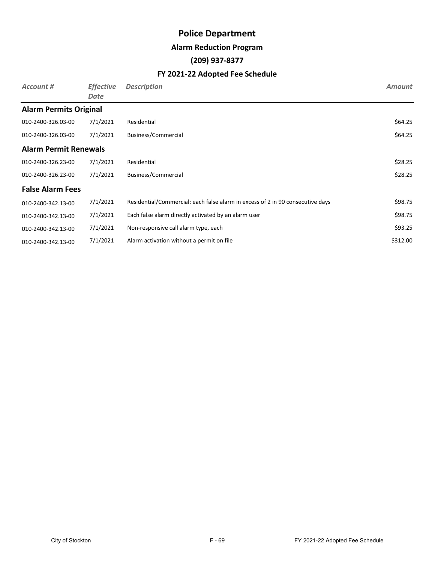#### **Alarm Reduction Program**

#### **(209) 937-8377**

| Account #                     | <b>Effective</b><br>Date | <b>Description</b>                                                             | <b>Amount</b> |
|-------------------------------|--------------------------|--------------------------------------------------------------------------------|---------------|
| <b>Alarm Permits Original</b> |                          |                                                                                |               |
| 010-2400-326.03-00            | 7/1/2021                 | Residential                                                                    | \$64.25       |
| 010-2400-326.03-00            | 7/1/2021                 | Business/Commercial                                                            | \$64.25       |
| <b>Alarm Permit Renewals</b>  |                          |                                                                                |               |
| 010-2400-326.23-00            | 7/1/2021                 | Residential                                                                    | \$28.25       |
| 010-2400-326.23-00            | 7/1/2021                 | Business/Commercial                                                            | \$28.25       |
| <b>False Alarm Fees</b>       |                          |                                                                                |               |
| 010-2400-342.13-00            | 7/1/2021                 | Residential/Commercial: each false alarm in excess of 2 in 90 consecutive days | \$98.75       |
| 010-2400-342.13-00            | 7/1/2021                 | Each false alarm directly activated by an alarm user                           | \$98.75       |
| 010-2400-342.13-00            | 7/1/2021                 | Non-responsive call alarm type, each                                           | \$93.25       |
| 010-2400-342.13-00            | 7/1/2021                 | Alarm activation without a permit on file                                      | \$312.00      |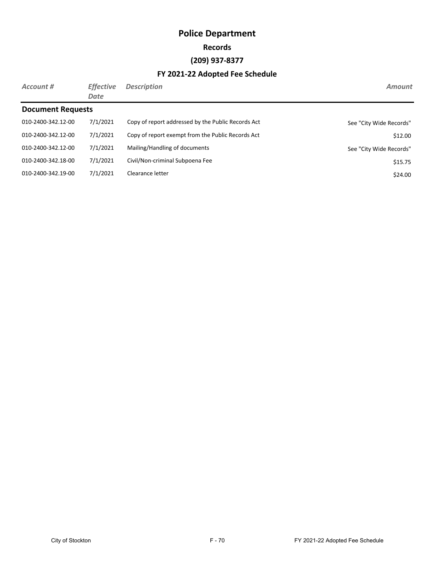#### **Records**

#### **(209) 937-8377**

| Account #                | <b>Effective</b><br>Date | <b>Description</b>                                 | <b>Amount</b>           |
|--------------------------|--------------------------|----------------------------------------------------|-------------------------|
| <b>Document Requests</b> |                          |                                                    |                         |
| 010-2400-342.12-00       | 7/1/2021                 | Copy of report addressed by the Public Records Act | See "City Wide Records" |
| 010-2400-342.12-00       | 7/1/2021                 | Copy of report exempt from the Public Records Act  | \$12.00                 |
| 010-2400-342.12-00       | 7/1/2021                 | Mailing/Handling of documents                      | See "City Wide Records" |
| 010-2400-342.18-00       | 7/1/2021                 | Civil/Non-criminal Subpoena Fee                    | \$15.75                 |
| 010-2400-342.19-00       | 7/1/2021                 | Clearance letter                                   | \$24.00                 |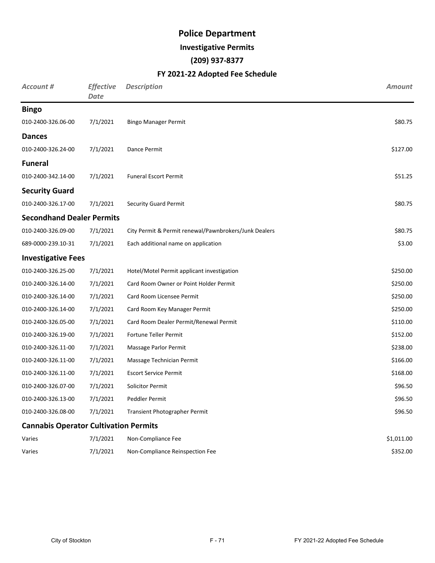#### **Investigative Permits**

#### **(209) 937-8377**

| <b>Account #</b>                             | <b>Effective</b><br><b>Date</b> | <b>Description</b>                                    | <b>Amount</b> |
|----------------------------------------------|---------------------------------|-------------------------------------------------------|---------------|
| <b>Bingo</b>                                 |                                 |                                                       |               |
| 010-2400-326.06-00                           | 7/1/2021                        | <b>Bingo Manager Permit</b>                           | \$80.75       |
| <b>Dances</b>                                |                                 |                                                       |               |
| 010-2400-326.24-00                           | 7/1/2021                        | Dance Permit                                          | \$127.00      |
| <b>Funeral</b>                               |                                 |                                                       |               |
| 010-2400-342.14-00                           | 7/1/2021                        | <b>Funeral Escort Permit</b>                          | \$51.25       |
| <b>Security Guard</b>                        |                                 |                                                       |               |
| 010-2400-326.17-00                           | 7/1/2021                        | <b>Security Guard Permit</b>                          | \$80.75       |
| <b>Secondhand Dealer Permits</b>             |                                 |                                                       |               |
| 010-2400-326.09-00                           | 7/1/2021                        | City Permit & Permit renewal/Pawnbrokers/Junk Dealers | \$80.75       |
| 689-0000-239.10-31                           | 7/1/2021                        | Each additional name on application                   | \$3.00        |
| <b>Investigative Fees</b>                    |                                 |                                                       |               |
| 010-2400-326.25-00                           | 7/1/2021                        | Hotel/Motel Permit applicant investigation            | \$250.00      |
| 010-2400-326.14-00                           | 7/1/2021                        | Card Room Owner or Point Holder Permit                | \$250.00      |
| 010-2400-326.14-00                           | 7/1/2021                        | Card Room Licensee Permit                             | \$250.00      |
| 010-2400-326.14-00                           | 7/1/2021                        | Card Room Key Manager Permit                          | \$250.00      |
| 010-2400-326.05-00                           | 7/1/2021                        | Card Room Dealer Permit/Renewal Permit                | \$110.00      |
| 010-2400-326.19-00                           | 7/1/2021                        | Fortune Teller Permit                                 | \$152.00      |
| 010-2400-326.11-00                           | 7/1/2021                        | Massage Parlor Permit                                 | \$238.00      |
| 010-2400-326.11-00                           | 7/1/2021                        | Massage Technician Permit                             | \$166.00      |
| 010-2400-326.11-00                           | 7/1/2021                        | <b>Escort Service Permit</b>                          | \$168.00      |
| 010-2400-326.07-00                           | 7/1/2021                        | <b>Solicitor Permit</b>                               | \$96.50       |
| 010-2400-326.13-00                           | 7/1/2021                        | Peddler Permit                                        | \$96.50       |
| 010-2400-326.08-00                           | 7/1/2021                        | Transient Photographer Permit                         | \$96.50       |
| <b>Cannabis Operator Cultivation Permits</b> |                                 |                                                       |               |
| Varies                                       | 7/1/2021                        | Non-Compliance Fee                                    | \$1,011.00    |
| Varies                                       | 7/1/2021                        | Non-Compliance Reinspection Fee                       | \$352.00      |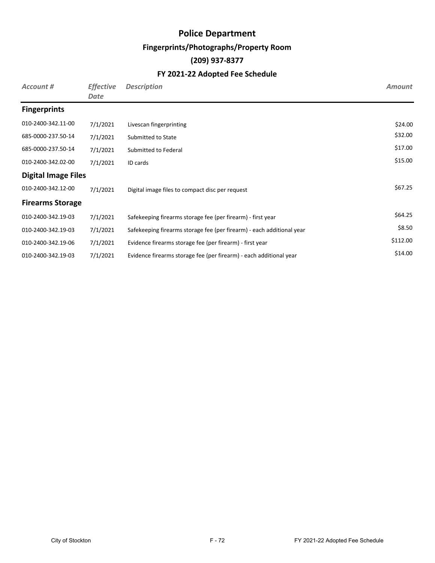#### **Fingerprints/Photographs/Property Room**

#### **(209) 937-8377**

| Account #                  | <b>Effective</b><br>Date | <b>Description</b>                                                    | <b>Amount</b> |
|----------------------------|--------------------------|-----------------------------------------------------------------------|---------------|
| <b>Fingerprints</b>        |                          |                                                                       |               |
| 010-2400-342.11-00         | 7/1/2021                 | Livescan fingerprinting                                               | \$24.00       |
| 685-0000-237.50-14         | 7/1/2021                 | Submitted to State                                                    | \$32.00       |
| 685-0000-237.50-14         | 7/1/2021                 | Submitted to Federal                                                  | \$17.00       |
| 010-2400-342.02-00         | 7/1/2021                 | ID cards                                                              | \$15.00       |
| <b>Digital Image Files</b> |                          |                                                                       |               |
| 010-2400-342.12-00         | 7/1/2021                 | Digital image files to compact disc per request                       | \$67.25       |
| <b>Firearms Storage</b>    |                          |                                                                       |               |
| 010-2400-342.19-03         | 7/1/2021                 | Safekeeping firearms storage fee (per firearm) - first year           | \$64.25       |
| 010-2400-342.19-03         | 7/1/2021                 | Safekeeping firearms storage fee (per firearm) - each additional year | \$8.50        |
| 010-2400-342.19-06         | 7/1/2021                 | Evidence firearms storage fee (per firearm) - first year              | \$112.00      |
| 010-2400-342.19-03         | 7/1/2021                 | Evidence firearms storage fee (per firearm) - each additional year    | \$14.00       |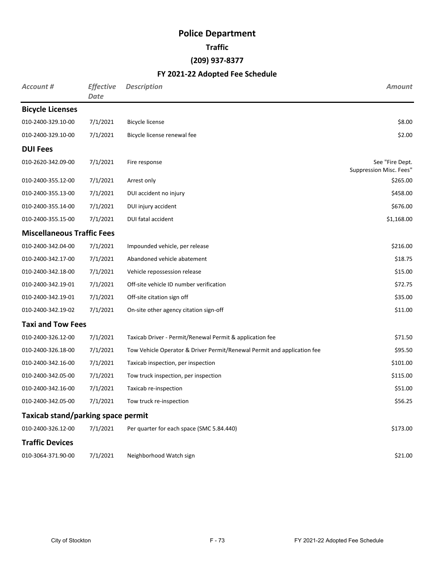#### **Traffic**

#### **(209) 937-8377**

| <b>Account #</b>                          | <b>Effective</b><br><b>Date</b> | <b>Description</b>                                                      | <b>Amount</b>                              |
|-------------------------------------------|---------------------------------|-------------------------------------------------------------------------|--------------------------------------------|
| <b>Bicycle Licenses</b>                   |                                 |                                                                         |                                            |
| 010-2400-329.10-00                        | 7/1/2021                        | <b>Bicycle license</b>                                                  | \$8.00                                     |
| 010-2400-329.10-00                        | 7/1/2021                        | Bicycle license renewal fee                                             | \$2.00                                     |
| <b>DUI Fees</b>                           |                                 |                                                                         |                                            |
| 010-2620-342.09-00                        | 7/1/2021                        | Fire response                                                           | See "Fire Dept.<br>Suppression Misc. Fees" |
| 010-2400-355.12-00                        | 7/1/2021                        | Arrest only                                                             | \$265.00                                   |
| 010-2400-355.13-00                        | 7/1/2021                        | DUI accident no injury                                                  | \$458.00                                   |
| 010-2400-355.14-00                        | 7/1/2021                        | DUI injury accident                                                     | \$676.00                                   |
| 010-2400-355.15-00                        | 7/1/2021                        | DUI fatal accident                                                      | \$1,168.00                                 |
| <b>Miscellaneous Traffic Fees</b>         |                                 |                                                                         |                                            |
| 010-2400-342.04-00                        | 7/1/2021                        | Impounded vehicle, per release                                          | \$216.00                                   |
| 010-2400-342.17-00                        | 7/1/2021                        | Abandoned vehicle abatement                                             | \$18.75                                    |
| 010-2400-342.18-00                        | 7/1/2021                        | Vehicle repossession release                                            | \$15.00                                    |
| 010-2400-342.19-01                        | 7/1/2021                        | Off-site vehicle ID number verification                                 | \$72.75                                    |
| 010-2400-342.19-01                        | 7/1/2021                        | Off-site citation sign off                                              | \$35.00                                    |
| 010-2400-342.19-02                        | 7/1/2021                        | On-site other agency citation sign-off                                  | \$11.00                                    |
| <b>Taxi and Tow Fees</b>                  |                                 |                                                                         |                                            |
| 010-2400-326.12-00                        | 7/1/2021                        | Taxicab Driver - Permit/Renewal Permit & application fee                | \$71.50                                    |
| 010-2400-326.18-00                        | 7/1/2021                        | Tow Vehicle Operator & Driver Permit/Renewal Permit and application fee | \$95.50                                    |
| 010-2400-342.16-00                        | 7/1/2021                        | Taxicab inspection, per inspection                                      | \$101.00                                   |
| 010-2400-342.05-00                        | 7/1/2021                        | Tow truck inspection, per inspection                                    | \$115.00                                   |
| 010-2400-342.16-00                        | 7/1/2021                        | Taxicab re-inspection                                                   | \$51.00                                    |
| 010-2400-342.05-00                        | 7/1/2021                        | Tow truck re-inspection                                                 | \$56.25                                    |
| <b>Taxicab stand/parking space permit</b> |                                 |                                                                         |                                            |
| 010-2400-326.12-00                        | 7/1/2021                        | Per quarter for each space (SMC 5.84.440)                               | \$173.00                                   |
| <b>Traffic Devices</b>                    |                                 |                                                                         |                                            |
| 010-3064-371.90-00                        | 7/1/2021                        | Neighborhood Watch sign                                                 | \$21.00                                    |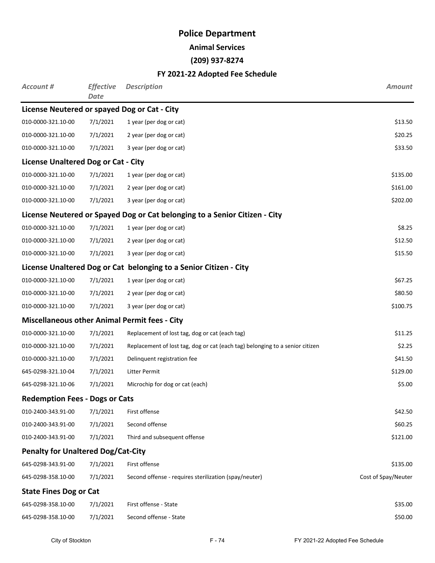**Animal Services**

#### **(209) 937-8274**

| <b>Account #</b>                           | <b>Effective</b><br>Date | <b>Description</b>                                                           | <b>Amount</b>       |
|--------------------------------------------|--------------------------|------------------------------------------------------------------------------|---------------------|
|                                            |                          | License Neutered or spayed Dog or Cat - City                                 |                     |
| 010-0000-321.10-00                         | 7/1/2021                 | 1 year (per dog or cat)                                                      | \$13.50             |
| 010-0000-321.10-00                         | 7/1/2021                 | 2 year (per dog or cat)                                                      | \$20.25             |
| 010-0000-321.10-00                         | 7/1/2021                 | 3 year (per dog or cat)                                                      | \$33.50             |
| <b>License Unaltered Dog or Cat - City</b> |                          |                                                                              |                     |
| 010-0000-321.10-00                         | 7/1/2021                 | 1 year (per dog or cat)                                                      | \$135.00            |
| 010-0000-321.10-00                         | 7/1/2021                 | 2 year (per dog or cat)                                                      | \$161.00            |
| 010-0000-321.10-00                         | 7/1/2021                 | 3 year (per dog or cat)                                                      | \$202.00            |
|                                            |                          | License Neutered or Spayed Dog or Cat belonging to a Senior Citizen - City   |                     |
| 010-0000-321.10-00                         | 7/1/2021                 | 1 year (per dog or cat)                                                      | \$8.25              |
| 010-0000-321.10-00                         | 7/1/2021                 | 2 year (per dog or cat)                                                      | \$12.50             |
| 010-0000-321.10-00                         | 7/1/2021                 | 3 year (per dog or cat)                                                      | \$15.50             |
|                                            |                          | License Unaltered Dog or Cat belonging to a Senior Citizen - City            |                     |
| 010-0000-321.10-00                         | 7/1/2021                 | 1 year (per dog or cat)                                                      | \$67.25             |
| 010-0000-321.10-00                         | 7/1/2021                 | 2 year (per dog or cat)                                                      | \$80.50             |
| 010-0000-321.10-00                         | 7/1/2021                 | 3 year (per dog or cat)                                                      | \$100.75            |
|                                            |                          | <b>Miscellaneous other Animal Permit fees - City</b>                         |                     |
| 010-0000-321.10-00                         | 7/1/2021                 | Replacement of lost tag, dog or cat (each tag)                               | \$11.25             |
| 010-0000-321.10-00                         | 7/1/2021                 | Replacement of lost tag, dog or cat (each tag) belonging to a senior citizen | \$2.25              |
| 010-0000-321.10-00                         | 7/1/2021                 | Delinquent registration fee                                                  | \$41.50             |
| 645-0298-321.10-04                         | 7/1/2021                 | Litter Permit                                                                | \$129.00            |
| 645-0298-321.10-06                         | 7/1/2021                 | Microchip for dog or cat (each)                                              | \$5.00              |
| <b>Redemption Fees - Dogs or Cats</b>      |                          |                                                                              |                     |
| 010-2400-343.91-00                         | 7/1/2021                 | First offense                                                                | \$42.50             |
| 010-2400-343.91-00                         | 7/1/2021                 | Second offense                                                               | \$60.25             |
| 010-2400-343.91-00                         | 7/1/2021                 | Third and subsequent offense                                                 | \$121.00            |
| <b>Penalty for Unaltered Dog/Cat-City</b>  |                          |                                                                              |                     |
| 645-0298-343.91-00                         | 7/1/2021                 | First offense                                                                | \$135.00            |
| 645-0298-358.10-00                         | 7/1/2021                 | Second offense - requires sterilization (spay/neuter)                        | Cost of Spay/Neuter |
| <b>State Fines Dog or Cat</b>              |                          |                                                                              |                     |
| 645-0298-358.10-00                         | 7/1/2021                 | First offense - State                                                        | \$35.00             |
| 645-0298-358.10-00                         | 7/1/2021                 | Second offense - State                                                       | \$50.00             |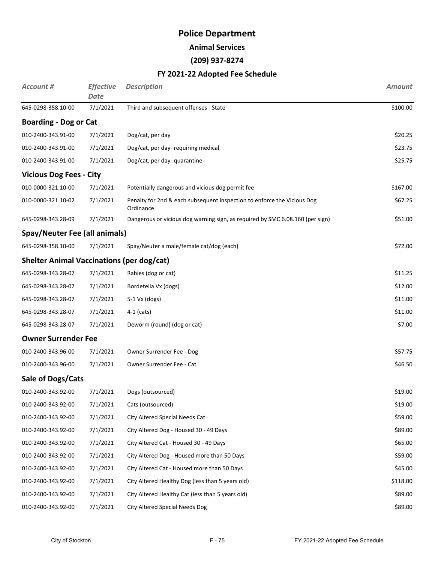**Animal Services**

#### **(209) 937-8274**

| Account #                                        | <b>Effective</b><br><b>Date</b> | <b>Description</b>                                                                   | <b>Amount</b> |
|--------------------------------------------------|---------------------------------|--------------------------------------------------------------------------------------|---------------|
| 645-0298-358.10-00                               | 7/1/2021                        | Third and subsequent offenses - State                                                | \$100.00      |
| <b>Boarding - Dog or Cat</b>                     |                                 |                                                                                      |               |
| 010-2400-343.91-00                               | 7/1/2021                        | Dog/cat, per day                                                                     | \$20.25       |
| 010-2400-343.91-00                               | 7/1/2021                        | Dog/cat, per day-requiring medical                                                   | \$23.75       |
| 010-2400-343.91-00                               | 7/1/2021                        | Dog/cat, per day- quarantine                                                         | \$25.75       |
| <b>Vicious Dog Fees - City</b>                   |                                 |                                                                                      |               |
| 010-0000-321.10-00                               | 7/1/2021                        | Potentially dangerous and vicious dog permit fee                                     | \$167.00      |
| 010-0000-321.10-02                               | 7/1/2021                        | Penalty for 2nd & each subsequent inspection to enforce the Vicious Dog<br>Ordinance | \$67.25       |
| 645-0298-343.28-09                               | 7/1/2021                        | Dangerous or vicious dog warning sign, as required by SMC 6.08.160 (per sign)        | \$51.00       |
| Spay/Neuter Fee (all animals)                    |                                 |                                                                                      |               |
| 645-0298-358.10-00                               | 7/1/2021                        | Spay/Neuter a male/female cat/dog (each)                                             | \$72.00       |
| <b>Shelter Animal Vaccinations (per dog/cat)</b> |                                 |                                                                                      |               |
| 645-0298-343.28-07                               | 7/1/2021                        | Rabies (dog or cat)                                                                  | \$11.25       |
| 645-0298-343.28-07                               | 7/1/2021                        | Bordetella Vx (dogs)                                                                 | \$12.00       |
| 645-0298-343.28-07                               | 7/1/2021                        | $5-1$ Vx (dogs)                                                                      | \$11.00       |
| 645-0298-343.28-07                               | 7/1/2021                        | $4-1$ (cats)                                                                         | \$11.00       |
| 645-0298-343.28-07                               | 7/1/2021                        | Deworm (round) (dog or cat)                                                          | \$7.00        |
| <b>Owner Surrender Fee</b>                       |                                 |                                                                                      |               |
| 010-2400-343.96-00                               | 7/1/2021                        | Owner Surrender Fee - Dog                                                            | \$57.75       |
| 010-2400-343.96-00                               | 7/1/2021                        | Owner Surrender Fee - Cat                                                            | \$46.50       |
| Sale of Dogs/Cats                                |                                 |                                                                                      |               |
| 010-2400-343.92-00                               | 7/1/2021                        | Dogs (outsourced)                                                                    | \$19.00       |
| 010-2400-343.92-00                               | 7/1/2021                        | Cats (outsourced)                                                                    | \$19.00       |
| 010-2400-343.92-00                               | 7/1/2021                        | City Altered Special Needs Cat                                                       | \$59.00       |
| 010-2400-343.92-00                               | 7/1/2021                        | City Altered Dog - Housed 30 - 49 Days                                               | \$89.00       |
| 010-2400-343.92-00                               | 7/1/2021                        | City Altered Cat - Housed 30 - 49 Days                                               | \$65.00       |
| 010-2400-343.92-00                               | 7/1/2021                        | City Altered Dog - Housed more than 50 Days                                          | \$59.00       |
| 010-2400-343.92-00                               | 7/1/2021                        | City Altered Cat - Housed more than 50 Days                                          | \$45.00       |
| 010-2400-343.92-00                               | 7/1/2021                        | City Altered Healthy Dog (less than 5 years old)                                     | \$118.00      |
| 010-2400-343.92-00                               | 7/1/2021                        | City Altered Healthy Cat (less than 5 years old)                                     | \$89.00       |
| 010-2400-343.92-00                               | 7/1/2021                        | City Altered Special Needs Dog                                                       | \$89.00       |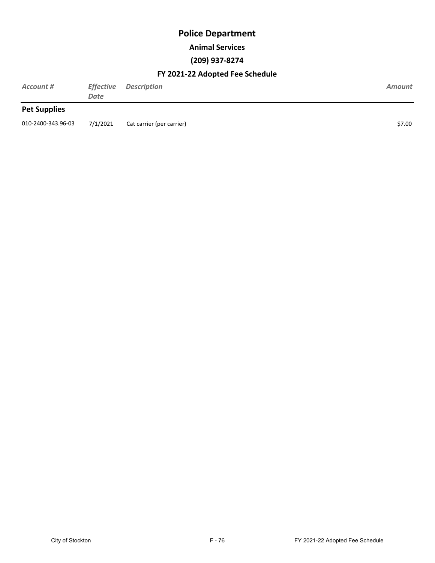#### **Animal Services**

#### **(209) 937-8274**

| Account #           | <i><b>Effective</b></i><br>Date | <b>Description</b>        | Amount |
|---------------------|---------------------------------|---------------------------|--------|
| <b>Pet Supplies</b> |                                 |                           |        |
| 010-2400-343.96-03  | 7/1/2021                        | Cat carrier (per carrier) | \$7.00 |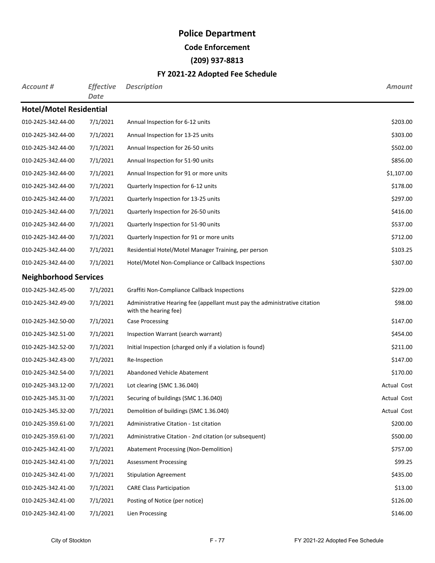**Code Enforcement**

#### **(209) 937-8813**

| Account #                      | <b>Effective</b><br><b>Date</b> | <b>Description</b>                                                                                  | <b>Amount</b> |
|--------------------------------|---------------------------------|-----------------------------------------------------------------------------------------------------|---------------|
| <b>Hotel/Motel Residential</b> |                                 |                                                                                                     |               |
| 010-2425-342.44-00             | 7/1/2021                        | Annual Inspection for 6-12 units                                                                    | \$203.00      |
| 010-2425-342.44-00             | 7/1/2021                        | Annual Inspection for 13-25 units                                                                   | \$303.00      |
| 010-2425-342.44-00             | 7/1/2021                        | Annual Inspection for 26-50 units                                                                   | \$502.00      |
| 010-2425-342.44-00             | 7/1/2021                        | Annual Inspection for 51-90 units                                                                   | \$856.00      |
| 010-2425-342.44-00             | 7/1/2021                        | Annual Inspection for 91 or more units                                                              | \$1,107.00    |
| 010-2425-342.44-00             | 7/1/2021                        | Quarterly Inspection for 6-12 units                                                                 | \$178.00      |
| 010-2425-342.44-00             | 7/1/2021                        | Quarterly Inspection for 13-25 units                                                                | \$297.00      |
| 010-2425-342.44-00             | 7/1/2021                        | Quarterly Inspection for 26-50 units                                                                | \$416.00      |
| 010-2425-342.44-00             | 7/1/2021                        | Quarterly Inspection for 51-90 units                                                                | \$537.00      |
| 010-2425-342.44-00             | 7/1/2021                        | Quarterly Inspection for 91 or more units                                                           | \$712.00      |
| 010-2425-342.44-00             | 7/1/2021                        | Residential Hotel/Motel Manager Training, per person                                                | \$103.25      |
| 010-2425-342.44-00             | 7/1/2021                        | Hotel/Motel Non-Compliance or Callback Inspections                                                  | \$307.00      |
| <b>Neighborhood Services</b>   |                                 |                                                                                                     |               |
| 010-2425-342.45-00             | 7/1/2021                        | Graffiti Non-Compliance Callback Inspections                                                        | \$229.00      |
| 010-2425-342.49-00             | 7/1/2021                        | Administrative Hearing fee (appellant must pay the administrative citation<br>with the hearing fee) | \$98.00       |
| 010-2425-342.50-00             | 7/1/2021                        | <b>Case Processing</b>                                                                              | \$147.00      |
| 010-2425-342.51-00             | 7/1/2021                        | Inspection Warrant (search warrant)                                                                 | \$454.00      |
| 010-2425-342.52-00             | 7/1/2021                        | Initial Inspection (charged only if a violation is found)                                           | \$211.00      |
| 010-2425-342.43-00             | 7/1/2021                        | Re-Inspection                                                                                       | \$147.00      |
| 010-2425-342.54-00             | 7/1/2021                        | Abandoned Vehicle Abatement                                                                         | \$170.00      |
| 010-2425-343.12-00             | 7/1/2021                        | Lot clearing (SMC 1.36.040)                                                                         | Actual Cost   |
| 010-2425-345.31-00             | 7/1/2021                        | Securing of buildings (SMC 1.36.040)                                                                | Actual Cost   |
| 010-2425-345.32-00             | 7/1/2021                        | Demolition of buildings (SMC 1.36.040)                                                              | Actual Cost   |
| 010-2425-359.61-00             | 7/1/2021                        | Administrative Citation - 1st citation                                                              | \$200.00      |
| 010-2425-359.61-00             | 7/1/2021                        | Administrative Citation - 2nd citation (or subsequent)                                              | \$500.00      |
| 010-2425-342.41-00             | 7/1/2021                        | Abatement Processing (Non-Demolition)                                                               | \$757.00      |
| 010-2425-342.41-00             | 7/1/2021                        | <b>Assessment Processing</b>                                                                        | \$99.25       |
| 010-2425-342.41-00             | 7/1/2021                        | <b>Stipulation Agreement</b>                                                                        | \$435.00      |
| 010-2425-342.41-00             | 7/1/2021                        | <b>CARE Class Participation</b>                                                                     | \$13.00       |
| 010-2425-342.41-00             | 7/1/2021                        | Posting of Notice (per notice)                                                                      | \$126.00      |
| 010-2425-342.41-00             | 7/1/2021                        | Lien Processing                                                                                     | \$146.00      |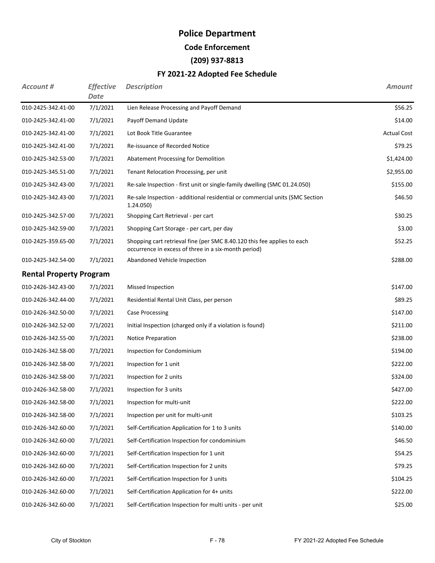**Code Enforcement**

#### **(209) 937-8813**

| Account #                      | <b>Effective</b><br><b>Date</b> | <b>Description</b>                                                                                                              | <b>Amount</b>      |
|--------------------------------|---------------------------------|---------------------------------------------------------------------------------------------------------------------------------|--------------------|
| 010-2425-342.41-00             | 7/1/2021                        | Lien Release Processing and Payoff Demand                                                                                       | \$56.25            |
| 010-2425-342.41-00             | 7/1/2021                        | Payoff Demand Update                                                                                                            | \$14.00            |
| 010-2425-342.41-00             | 7/1/2021                        | Lot Book Title Guarantee                                                                                                        | <b>Actual Cost</b> |
| 010-2425-342.41-00             | 7/1/2021                        | Re-issuance of Recorded Notice                                                                                                  | \$79.25            |
| 010-2425-342.53-00             | 7/1/2021                        | Abatement Processing for Demolition                                                                                             | \$1,424.00         |
| 010-2425-345.51-00             | 7/1/2021                        | Tenant Relocation Processing, per unit                                                                                          | \$2,955.00         |
| 010-2425-342.43-00             | 7/1/2021                        | Re-sale Inspection - first unit or single-family dwelling (SMC 01.24.050)                                                       | \$155.00           |
| 010-2425-342.43-00             | 7/1/2021                        | Re-sale Inspection - additional residential or commercial units (SMC Section<br>1.24.050)                                       | \$46.50            |
| 010-2425-342.57-00             | 7/1/2021                        | Shopping Cart Retrieval - per cart                                                                                              | \$30.25            |
| 010-2425-342.59-00             | 7/1/2021                        | Shopping Cart Storage - per cart, per day                                                                                       | \$3.00             |
| 010-2425-359.65-00             | 7/1/2021                        | Shopping cart retrieval fine (per SMC 8.40.120 this fee applies to each<br>occurrence in excess of three in a six-month period) | \$52.25            |
| 010-2425-342.54-00             | 7/1/2021                        | Abandoned Vehicle Inspection                                                                                                    | \$288.00           |
| <b>Rental Property Program</b> |                                 |                                                                                                                                 |                    |
| 010-2426-342.43-00             | 7/1/2021                        | Missed Inspection                                                                                                               | \$147.00           |
| 010-2426-342.44-00             | 7/1/2021                        | Residential Rental Unit Class, per person                                                                                       | \$89.25            |
| 010-2426-342.50-00             | 7/1/2021                        | Case Processing                                                                                                                 | \$147.00           |
| 010-2426-342.52-00             | 7/1/2021                        | Initial Inspection (charged only if a violation is found)                                                                       | \$211.00           |
| 010-2426-342.55-00             | 7/1/2021                        | <b>Notice Preparation</b>                                                                                                       | \$238.00           |
| 010-2426-342.58-00             | 7/1/2021                        | Inspection for Condominium                                                                                                      | \$194.00           |
| 010-2426-342.58-00             | 7/1/2021                        | Inspection for 1 unit                                                                                                           | \$222.00           |
| 010-2426-342.58-00             | 7/1/2021                        | Inspection for 2 units                                                                                                          | \$324.00           |
| 010-2426-342.58-00             | 7/1/2021                        | Inspection for 3 units                                                                                                          | \$427.00           |
| 010-2426-342.58-00             | 7/1/2021                        | Inspection for multi-unit                                                                                                       | \$222.00           |
| 010-2426-342.58-00             | 7/1/2021                        | Inspection per unit for multi-unit                                                                                              | \$103.25           |
| 010-2426-342.60-00             | 7/1/2021                        | Self-Certification Application for 1 to 3 units                                                                                 | \$140.00           |
| 010-2426-342.60-00             | 7/1/2021                        | Self-Certification Inspection for condominium                                                                                   | \$46.50            |
| 010-2426-342.60-00             | 7/1/2021                        | Self-Certification Inspection for 1 unit                                                                                        | \$54.25            |
| 010-2426-342.60-00             | 7/1/2021                        | Self-Certification Inspection for 2 units                                                                                       | \$79.25            |
| 010-2426-342.60-00             | 7/1/2021                        | Self-Certification Inspection for 3 units                                                                                       | \$104.25           |
| 010-2426-342.60-00             | 7/1/2021                        | Self-Certification Application for 4+ units                                                                                     | \$222.00           |
| 010-2426-342.60-00             | 7/1/2021                        | Self-Certification Inspection for multi units - per unit                                                                        | \$25.00            |